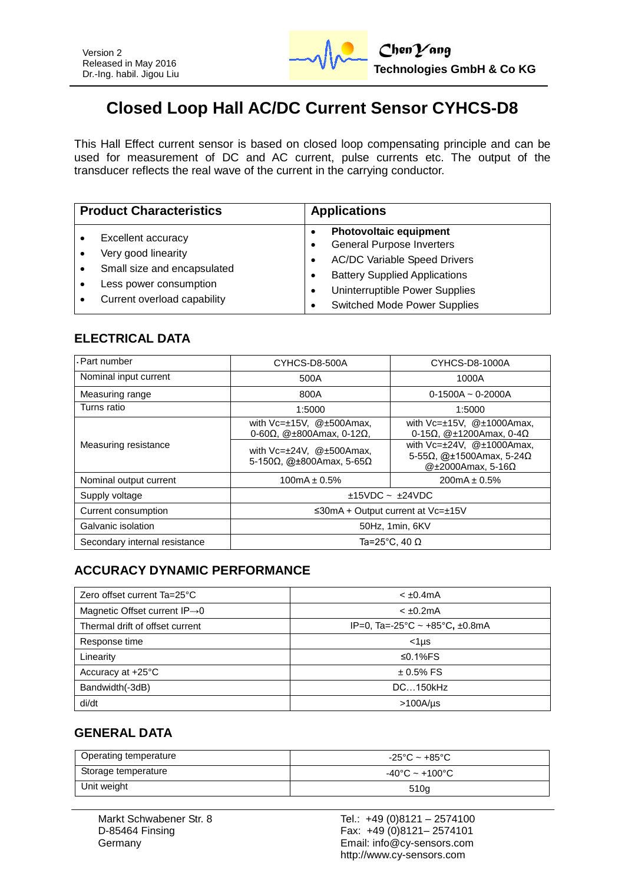

# **Closed Loop Hall AC/DC Current Sensor CYHCS-D8**

This Hall Effect current sensor is based on closed loop compensating principle and can be used for measurement of DC and AC current, pulse currents etc. The output of the transducer reflects the real wave of the current in the carrying conductor.

| <b>Product Characteristics</b> |                                                                                                                                   | <b>Applications</b>                                                                                                                                                                                                            |  |
|--------------------------------|-----------------------------------------------------------------------------------------------------------------------------------|--------------------------------------------------------------------------------------------------------------------------------------------------------------------------------------------------------------------------------|--|
|                                | Excellent accuracy<br>Very good linearity<br>Small size and encapsulated<br>Less power consumption<br>Current overload capability | <b>Photovoltaic equipment</b><br><b>General Purpose Inverters</b><br><b>AC/DC Variable Speed Drivers</b><br><b>Battery Supplied Applications</b><br>Uninterruptible Power Supplies<br>٠<br><b>Switched Mode Power Supplies</b> |  |

## **ELECTRICAL DATA**

| - Part number                 | CYHCS-D8-500A                                                                       | CYHCS-D8-1000A                                                                                       |  |
|-------------------------------|-------------------------------------------------------------------------------------|------------------------------------------------------------------------------------------------------|--|
| Nominal input current         | 500A                                                                                | 1000A                                                                                                |  |
| Measuring range               | 800A                                                                                | $0-1500A - 0-2000A$                                                                                  |  |
| Turns ratio                   | 1:5000                                                                              | 1:5000                                                                                               |  |
|                               | with $Vc=\pm 15V$ , @ $\pm 500A$ max,<br>0-60 $\Omega$ , @±800Amax, 0-12 $\Omega$ , | with $Vc=\pm 15V$ , $@\pm 1000A$ max,<br>0-15 $\Omega$ , @±1200Amax, 0-4 $\Omega$                    |  |
| Measuring resistance          | with $Vc=\pm 24V$ , $@\pm 500A$ max,<br>5-150Ω, @±800Amax, 5-65Ω                    | with $Vc=\pm 24V$ , $@\pm 1000A$ max,<br>5-55Ω, @±1500Amax, 5-24Ω<br>@ $\pm$ 2000Amax, 5-16 $\Omega$ |  |
| Nominal output current        | $100mA \pm 0.5\%$                                                                   | $200mA \pm 0.5\%$                                                                                    |  |
| Supply voltage                | $±15VDC$ ~ $±24VDC$                                                                 |                                                                                                      |  |
| Current consumption           | $\leq$ 30mA + Output current at Vc= $\pm$ 15V                                       |                                                                                                      |  |
| Galvanic isolation            | 50Hz, 1min, 6KV                                                                     |                                                                                                      |  |
| Secondary internal resistance | Ta=25°C. 40 $\Omega$                                                                |                                                                                                      |  |

# **ACCURACY DYNAMIC PERFORMANCE**

| Zero offset current Ta=25°C               | $< \pm 0.4$ mA                 |  |
|-------------------------------------------|--------------------------------|--|
| Magnetic Offset current $IP\rightarrow 0$ | $< \pm 0.2$ mA                 |  |
| Thermal drift of offset current           | IP=0, Ta=-25°C ~ +85°C, ±0.8mA |  |
| Response time                             | $<$ 1µs                        |  |
| Linearity                                 | ≤0.1% $FS$                     |  |
| Accuracy at +25°C                         | $± 0.5\%$ FS                   |  |
| Bandwidth(-3dB)                           | DC150kHz                       |  |
| di/dt                                     | $>100A/$ us                    |  |

# **GENERAL DATA**

| Operating temperature | -25°C ~ +85°C                      |
|-----------------------|------------------------------------|
| Storage temperature   | $-40^{\circ}$ C ~ $+100^{\circ}$ C |
| Unit weight           | 510g                               |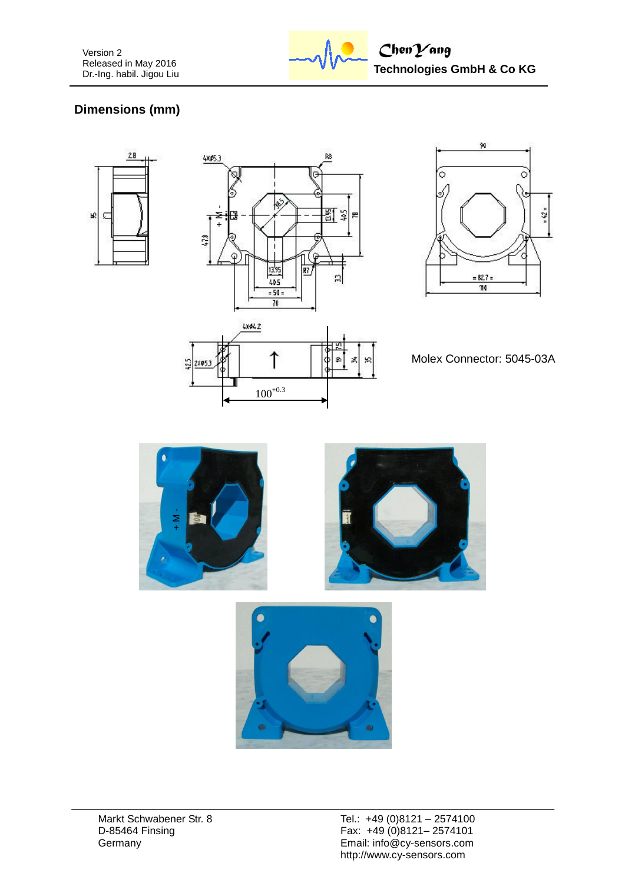

# **Dimensions (mm)**





 $100^{+0.3}$ 

î

 $24033$ 



Molex Connector: 5045-03A



ф

ø

결 ¥.



Markt Schwabener Str. 8 D-85464 Finsing **Germany**